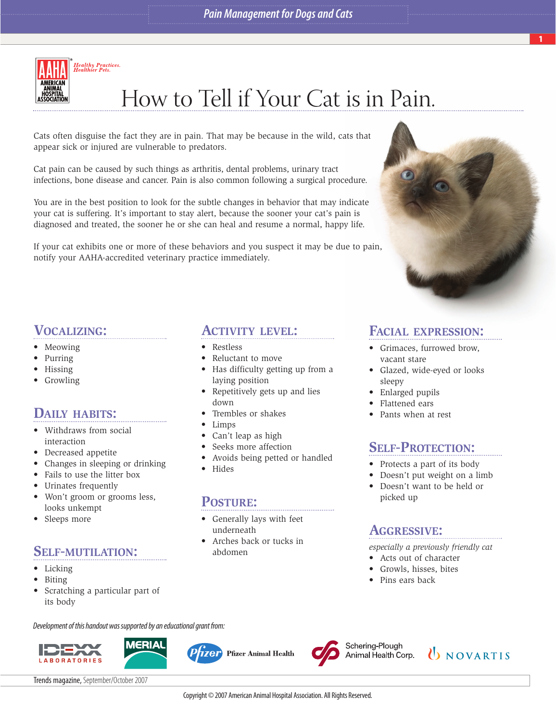

# How to Tell if Your Cat is in Pain.

Cats often disguise the fact they are in pain. That may be because in the wild, cats that appear sick or injured are vulnerable to predators.

Cat pain can be caused by such things as arthritis, dental problems, urinary tract infections, bone disease and cancer. Pain is also common following a surgical procedure.

You are in the best position to look for the subtle changes in behavior that may indicate your cat is suffering. It's important to stay alert, because the sooner your cat's pain is diagnosed and treated, the sooner he or she can heal and resume a normal, happy life.

If your cat exhibits one or more of these behaviors and you suspect it may be due to pain, notify your AAHA-accredited veterinary practice immediately.

**ACTIVITY LEVEL:**

• Has difficulty getting up from a

• Avoids being petted or handled

• Repetitively gets up and lies

• Reluctant to move

laying position

• Trembles or shakes

• Can't leap as high Seeks more affection

• Restless

down

• Limps

• Hides

**POSTURE:**

underneath

abdomen

• Generally lays with feet

• Arches back or tucks in



# **VOCALIZING:**

- Meowing
- Purring
- Hissing
- Growling

# **DAILY HABITS:**

- Withdraws from social interaction
- Decreased appetite
- Changes in sleeping or drinking
- Fails to use the litter box
- Urinates frequently
- Won't groom or grooms less, looks unkempt
- Sleeps more

# **SELF-MUTILATION:**

- Licking
- Biting
- Scratching a particular part of its body

Development of this handout was supported by an educational grant from:





*izer* **Pfizer Animal Health** 



Schering-Plough Animal Health Corp.

**D** NOVARTIS

Trends magazine, September/October 2007

#### Copyright © 2007 American Animal Hospital Association. All Rights Reserved.

# **FACIAL EXPRESSION:**

- Grimaces, furrowed brow, vacant stare
- Glazed, wide-eyed or looks sleepy
- Enlarged pupils
- Flattened ears
- Pants when at rest

# **SELF-PROTECTION:**

- Protects a part of its body
- Doesn't put weight on a limb
- Doesn't want to be held or picked up

# **AGGRESSIVE:**

*especially a previously friendly cat*

- Acts out of character
- Growls, hisses, bites
- Pins ears back